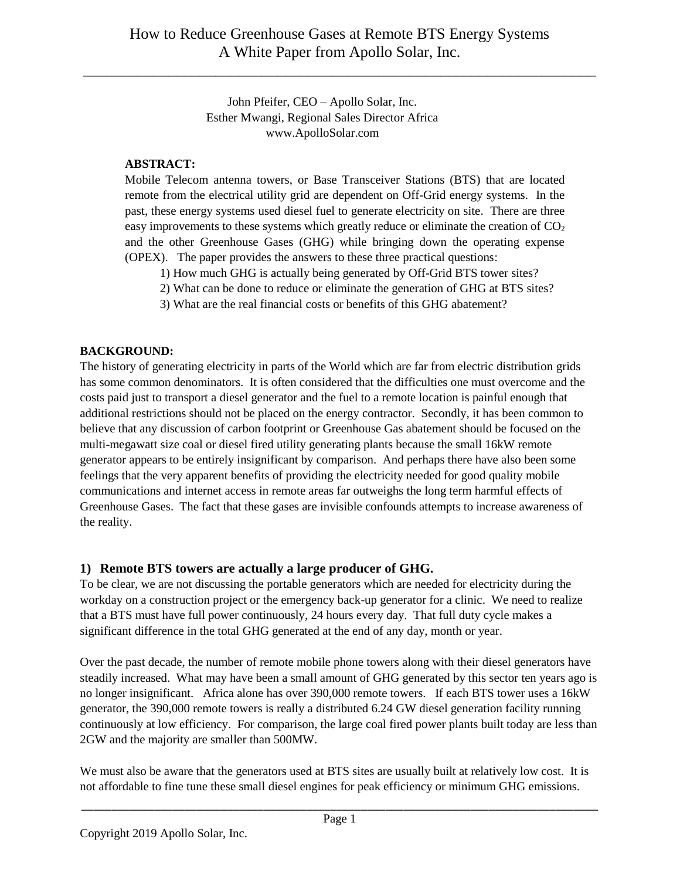John Pfeifer, CEO – Apollo Solar, Inc. Esther Mwangi, Regional Sales Director Africa www.ApolloSolar.com

### **ABSTRACT:**

Mobile Telecom antenna towers, or Base Transceiver Stations (BTS) that are located remote from the electrical utility grid are dependent on Off-Grid energy systems. In the past, these energy systems used diesel fuel to generate electricity on site. There are three easy improvements to these systems which greatly reduce or eliminate the creation of  $CO<sub>2</sub>$ and the other Greenhouse Gases (GHG) while bringing down the operating expense (OPEX). The paper provides the answers to these three practical questions:

- 1) How much GHG is actually being generated by Off-Grid BTS tower sites?
- 2) What can be done to reduce or eliminate the generation of GHG at BTS sites?
- 3) What are the real financial costs or benefits of this GHG abatement?

## **BACKGROUND:**

The history of generating electricity in parts of the World which are far from electric distribution grids has some common denominators. It is often considered that the difficulties one must overcome and the costs paid just to transport a diesel generator and the fuel to a remote location is painful enough that additional restrictions should not be placed on the energy contractor. Secondly, it has been common to believe that any discussion of carbon footprint or Greenhouse Gas abatement should be focused on the multi-megawatt size coal or diesel fired utility generating plants because the small 16kW remote generator appears to be entirely insignificant by comparison. And perhaps there have also been some feelings that the very apparent benefits of providing the electricity needed for good quality mobile communications and internet access in remote areas far outweighs the long term harmful effects of Greenhouse Gases. The fact that these gases are invisible confounds attempts to increase awareness of the reality.

# **1) Remote BTS towers are actually a large producer of GHG.**

To be clear, we are not discussing the portable generators which are needed for electricity during the workday on a construction project or the emergency back-up generator for a clinic. We need to realize that a BTS must have full power continuously, 24 hours every day. That full duty cycle makes a significant difference in the total GHG generated at the end of any day, month or year.

Over the past decade, the number of remote mobile phone towers along with their diesel generators have steadily increased. What may have been a small amount of GHG generated by this sector ten years ago is no longer insignificant. Africa alone has over 390,000 remote towers. If each BTS tower uses a 16kW generator, the 390,000 remote towers is really a distributed 6.24 GW diesel generation facility running continuously at low efficiency. For comparison, the large coal fired power plants built today are less than 2GW and the majority are smaller than 500MW.

We must also be aware that the generators used at BTS sites are usually built at relatively low cost. It is not affordable to fine tune these small diesel engines for peak efficiency or minimum GHG emissions.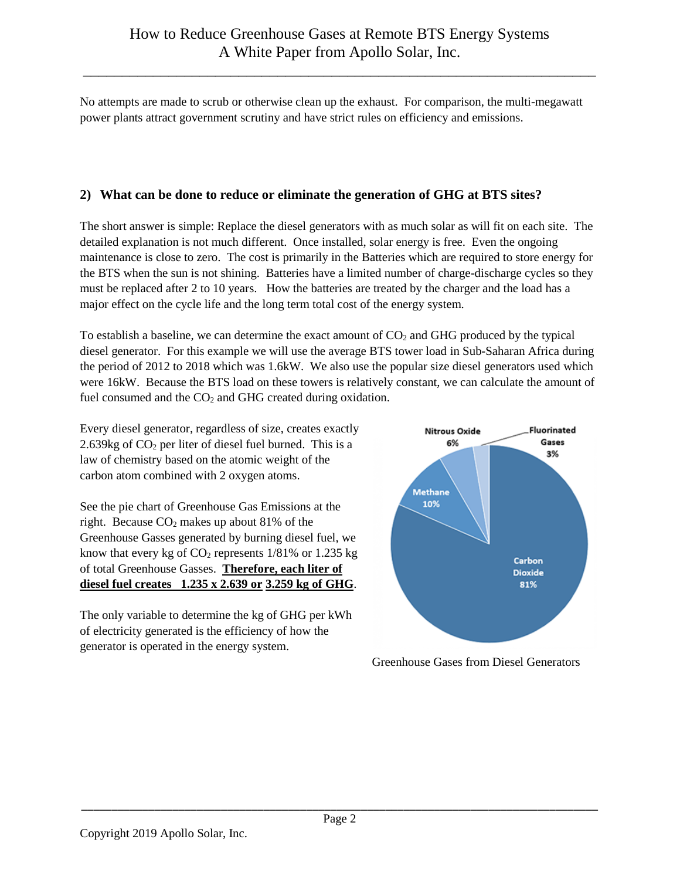No attempts are made to scrub or otherwise clean up the exhaust. For comparison, the multi-megawatt power plants attract government scrutiny and have strict rules on efficiency and emissions.

# **2) What can be done to reduce or eliminate the generation of GHG at BTS sites?**

The short answer is simple: Replace the diesel generators with as much solar as will fit on each site. The detailed explanation is not much different. Once installed, solar energy is free. Even the ongoing maintenance is close to zero. The cost is primarily in the Batteries which are required to store energy for the BTS when the sun is not shining. Batteries have a limited number of charge-discharge cycles so they must be replaced after 2 to 10 years. How the batteries are treated by the charger and the load has a major effect on the cycle life and the long term total cost of the energy system.

To establish a baseline, we can determine the exact amount of  $CO<sub>2</sub>$  and GHG produced by the typical diesel generator. For this example we will use the average BTS tower load in Sub-Saharan Africa during the period of 2012 to 2018 which was 1.6kW. We also use the popular size diesel generators used which were 16kW. Because the BTS load on these towers is relatively constant, we can calculate the amount of fuel consumed and the  $CO<sub>2</sub>$  and GHG created during oxidation.

Every diesel generator, regardless of size, creates exactly 2.639kg of  $CO<sub>2</sub>$  per liter of diesel fuel burned. This is a law of chemistry based on the atomic weight of the carbon atom combined with 2 oxygen atoms.

See the pie chart of Greenhouse Gas Emissions at the right. Because  $CO<sub>2</sub>$  makes up about 81% of the Greenhouse Gasses generated by burning diesel fuel, we know that every kg of  $CO<sub>2</sub>$  represents 1/81% or 1.235 kg of total Greenhouse Gasses. **Therefore, each liter of diesel fuel creates 1.235 x 2.639 or 3.259 kg of GHG**.

The only variable to determine the kg of GHG per kWh of electricity generated is the efficiency of how the generator is operated in the energy system.



Greenhouse Gases from Diesel Generators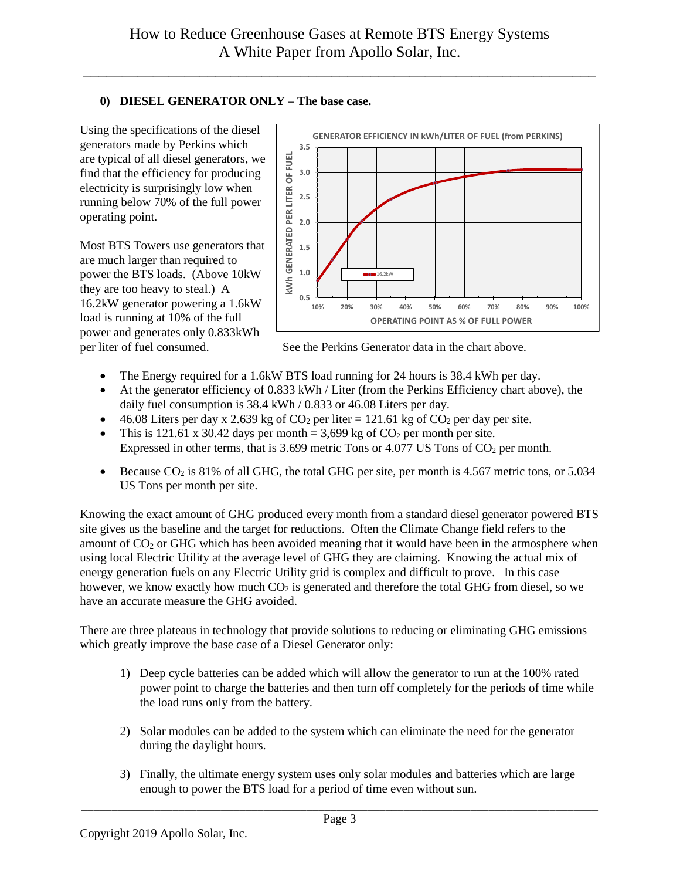## **0) DIESEL GENERATOR ONLY – The base case.**

Using the specifications of the diesel generators made by Perkins which are typical of all diesel generators, we find that the efficiency for producing electricity is surprisingly low when running below 70% of the full power operating point.

Most BTS Towers use generators that are much larger than required to power the BTS loads. (Above 10kW they are too heavy to steal.) A 16.2kW generator powering a 1.6kW load is running at 10% of the full power and generates only 0.833kWh



per liter of fuel consumed. See the Perkins Generator data in the chart above.

- The Energy required for a 1.6kW BTS load running for 24 hours is 38.4 kWh per day.
- At the generator efficiency of 0.833 kWh / Liter (from the Perkins Efficiency chart above), the daily fuel consumption is 38.4 kWh / 0.833 or 46.08 Liters per day.
- $\bullet$  46.08 Liters per day x 2.639 kg of CO<sub>2</sub> per liter = 121.61 kg of CO<sub>2</sub> per day per site.
- This is 121.61 x 30.42 days per month = 3,699 kg of  $CO_2$  per month per site. Expressed in other terms, that is  $3.699$  metric Tons or  $4.077$  US Tons of CO<sub>2</sub> per month.
- Because  $CO_2$  is 81% of all GHG, the total GHG per site, per month is 4.567 metric tons, or 5.034 US Tons per month per site.

Knowing the exact amount of GHG produced every month from a standard diesel generator powered BTS site gives us the baseline and the target for reductions. Often the Climate Change field refers to the amount of CO<sub>2</sub> or GHG which has been avoided meaning that it would have been in the atmosphere when using local Electric Utility at the average level of GHG they are claiming. Knowing the actual mix of energy generation fuels on any Electric Utility grid is complex and difficult to prove. In this case however, we know exactly how much  $CO<sub>2</sub>$  is generated and therefore the total GHG from diesel, so we have an accurate measure the GHG avoided.

There are three plateaus in technology that provide solutions to reducing or eliminating GHG emissions which greatly improve the base case of a Diesel Generator only:

- 1) Deep cycle batteries can be added which will allow the generator to run at the 100% rated power point to charge the batteries and then turn off completely for the periods of time while the load runs only from the battery.
- 2) Solar modules can be added to the system which can eliminate the need for the generator during the daylight hours.
- 3) Finally, the ultimate energy system uses only solar modules and batteries which are large enough to power the BTS load for a period of time even without sun.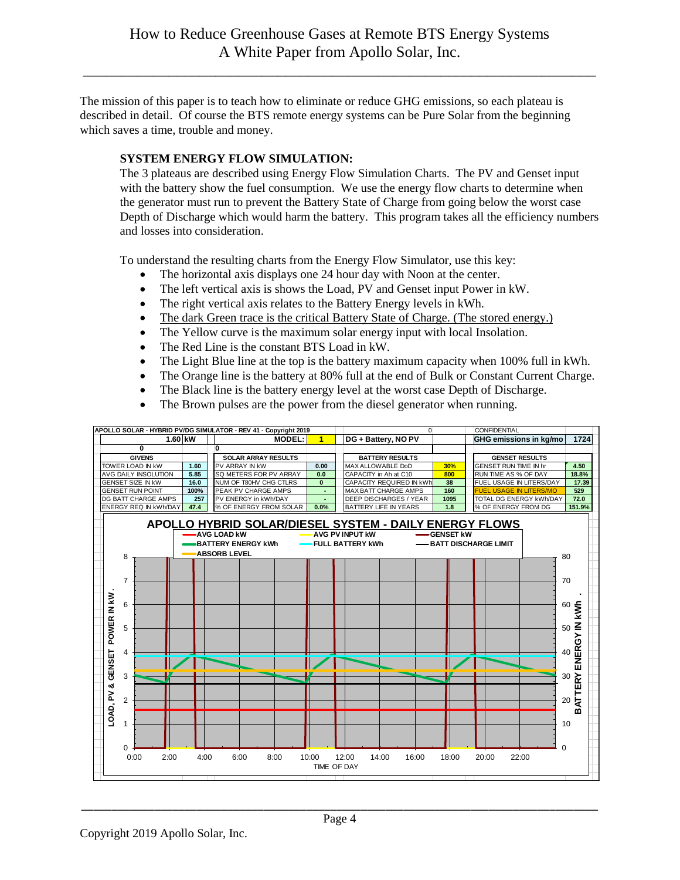The mission of this paper is to teach how to eliminate or reduce GHG emissions, so each plateau is described in detail. Of course the BTS remote energy systems can be Pure Solar from the beginning which saves a time, trouble and money.

### **SYSTEM ENERGY FLOW SIMULATION:**

The 3 plateaus are described using Energy Flow Simulation Charts. The PV and Genset input with the battery show the fuel consumption. We use the energy flow charts to determine when the generator must run to prevent the Battery State of Charge from going below the worst case Depth of Discharge which would harm the battery. This program takes all the efficiency numbers and losses into consideration.

To understand the resulting charts from the Energy Flow Simulator, use this key:

- The horizontal axis displays one 24 hour day with Noon at the center.
- The left vertical axis is shows the Load, PV and Genset input Power in kW.
- The right vertical axis relates to the Battery Energy levels in kWh.
- The dark Green trace is the critical Battery State of Charge. (The stored energy.)
- The Yellow curve is the maximum solar energy input with local Insolation.
- The Red Line is the constant BTS Load in kW.
- The Light Blue line at the top is the battery maximum capacity when 100% full in kWh.
- The Orange line is the battery at 80% full at the end of Bulk or Constant Current Charge.
- The Black line is the battery energy level at the worst case Depth of Discharge.
- The Brown pulses are the power from the diesel generator when running.

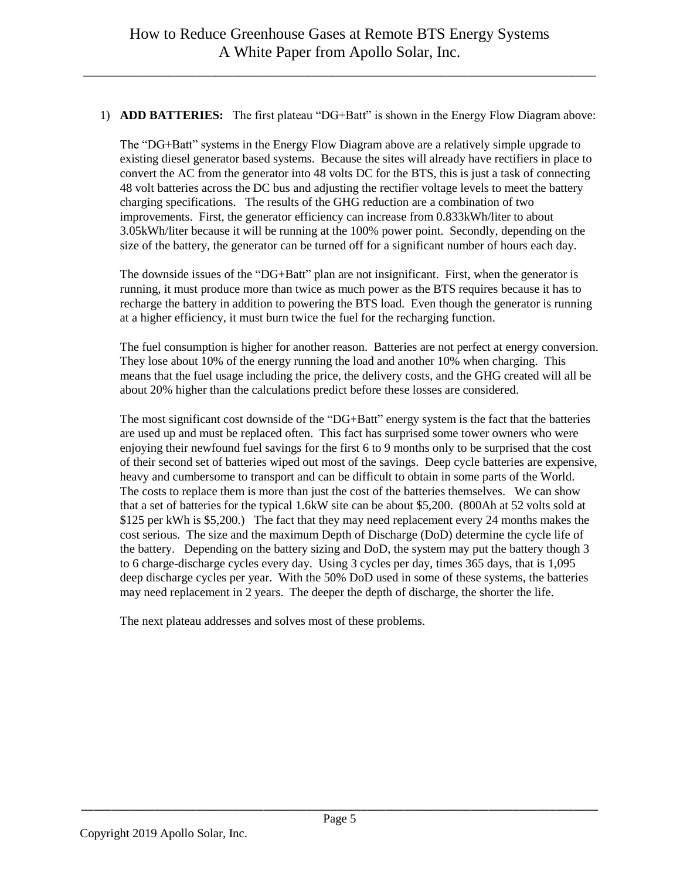#### 1) **ADD BATTERIES:** The first plateau "DG+Batt" is shown in the Energy Flow Diagram above:

The "DG+Batt" systems in the Energy Flow Diagram above are a relatively simple upgrade to existing diesel generator based systems. Because the sites will already have rectifiers in place to convert the AC from the generator into 48 volts DC for the BTS, this is just a task of connecting 48 volt batteries across the DC bus and adjusting the rectifier voltage levels to meet the battery charging specifications. The results of the GHG reduction are a combination of two improvements. First, the generator efficiency can increase from 0.833kWh/liter to about 3.05kWh/liter because it will be running at the 100% power point. Secondly, depending on the size of the battery, the generator can be turned off for a significant number of hours each day.

The downside issues of the "DG+Batt" plan are not insignificant. First, when the generator is running, it must produce more than twice as much power as the BTS requires because it has to recharge the battery in addition to powering the BTS load. Even though the generator is running at a higher efficiency, it must burn twice the fuel for the recharging function.

The fuel consumption is higher for another reason. Batteries are not perfect at energy conversion. They lose about 10% of the energy running the load and another 10% when charging. This means that the fuel usage including the price, the delivery costs, and the GHG created will all be about 20% higher than the calculations predict before these losses are considered.

The most significant cost downside of the "DG+Batt" energy system is the fact that the batteries are used up and must be replaced often. This fact has surprised some tower owners who were enjoying their newfound fuel savings for the first 6 to 9 months only to be surprised that the cost of their second set of batteries wiped out most of the savings. Deep cycle batteries are expensive, heavy and cumbersome to transport and can be difficult to obtain in some parts of the World. The costs to replace them is more than just the cost of the batteries themselves. We can show that a set of batteries for the typical 1.6kW site can be about \$5,200. (800Ah at 52 volts sold at \$125 per kWh is \$5,200.) The fact that they may need replacement every 24 months makes the cost serious. The size and the maximum Depth of Discharge (DoD) determine the cycle life of the battery. Depending on the battery sizing and DoD, the system may put the battery though 3 to 6 charge-discharge cycles every day. Using 3 cycles per day, times 365 days, that is 1,095 deep discharge cycles per year. With the 50% DoD used in some of these systems, the batteries may need replacement in 2 years. The deeper the depth of discharge, the shorter the life.

The next plateau addresses and solves most of these problems.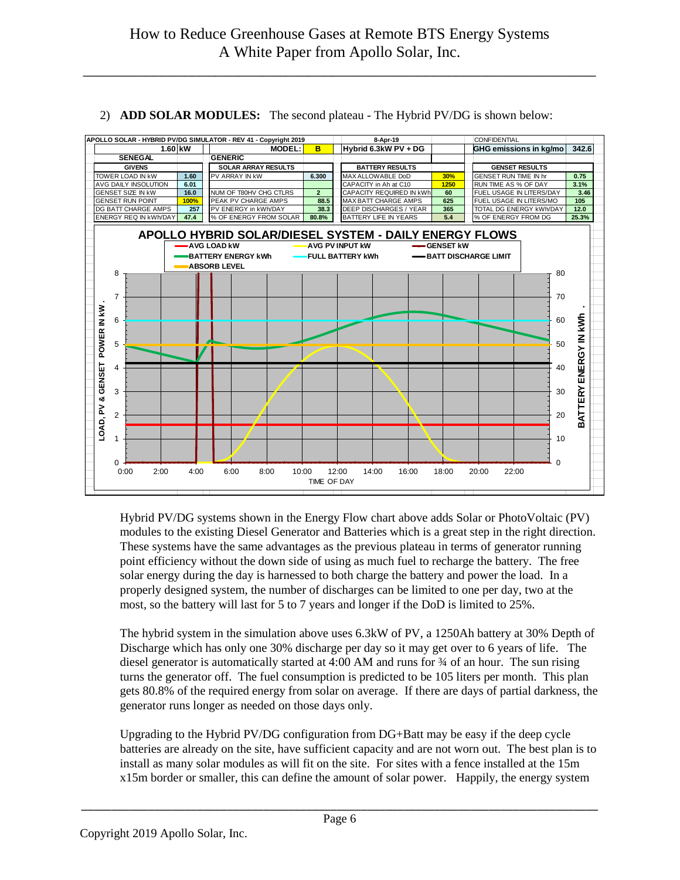

#### 2) **ADD SOLAR MODULES:** The second plateau - The Hybrid PV/DG is shown below:

Hybrid PV/DG systems shown in the Energy Flow chart above adds Solar or PhotoVoltaic (PV) modules to the existing Diesel Generator and Batteries which is a great step in the right direction. These systems have the same advantages as the previous plateau in terms of generator running point efficiency without the down side of using as much fuel to recharge the battery. The free solar energy during the day is harnessed to both charge the battery and power the load. In a properly designed system, the number of discharges can be limited to one per day, two at the most, so the battery will last for 5 to 7 years and longer if the DoD is limited to 25%.

The hybrid system in the simulation above uses 6.3kW of PV, a 1250Ah battery at 30% Depth of Discharge which has only one 30% discharge per day so it may get over to 6 years of life. The diesel generator is automatically started at 4:00 AM and runs for ¾ of an hour. The sun rising turns the generator off. The fuel consumption is predicted to be 105 liters per month. This plan gets 80.8% of the required energy from solar on average. If there are days of partial darkness, the generator runs longer as needed on those days only.

Upgrading to the Hybrid PV/DG configuration from DG+Batt may be easy if the deep cycle batteries are already on the site, have sufficient capacity and are not worn out. The best plan is to install as many solar modules as will fit on the site. For sites with a fence installed at the 15m x15m border or smaller, this can define the amount of solar power. Happily, the energy system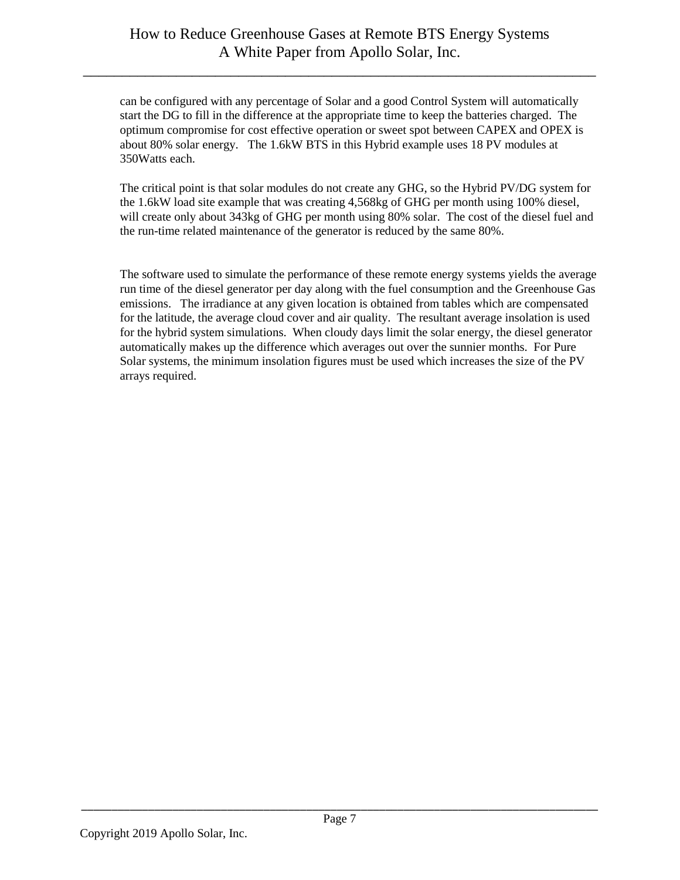can be configured with any percentage of Solar and a good Control System will automatically start the DG to fill in the difference at the appropriate time to keep the batteries charged. The optimum compromise for cost effective operation or sweet spot between CAPEX and OPEX is about 80% solar energy. The 1.6kW BTS in this Hybrid example uses 18 PV modules at 350Watts each.

The critical point is that solar modules do not create any GHG, so the Hybrid PV/DG system for the 1.6kW load site example that was creating 4,568kg of GHG per month using 100% diesel, will create only about 343kg of GHG per month using 80% solar. The cost of the diesel fuel and the run-time related maintenance of the generator is reduced by the same 80%.

The software used to simulate the performance of these remote energy systems yields the average run time of the diesel generator per day along with the fuel consumption and the Greenhouse Gas emissions. The irradiance at any given location is obtained from tables which are compensated for the latitude, the average cloud cover and air quality. The resultant average insolation is used for the hybrid system simulations. When cloudy days limit the solar energy, the diesel generator automatically makes up the difference which averages out over the sunnier months. For Pure Solar systems, the minimum insolation figures must be used which increases the size of the PV arrays required.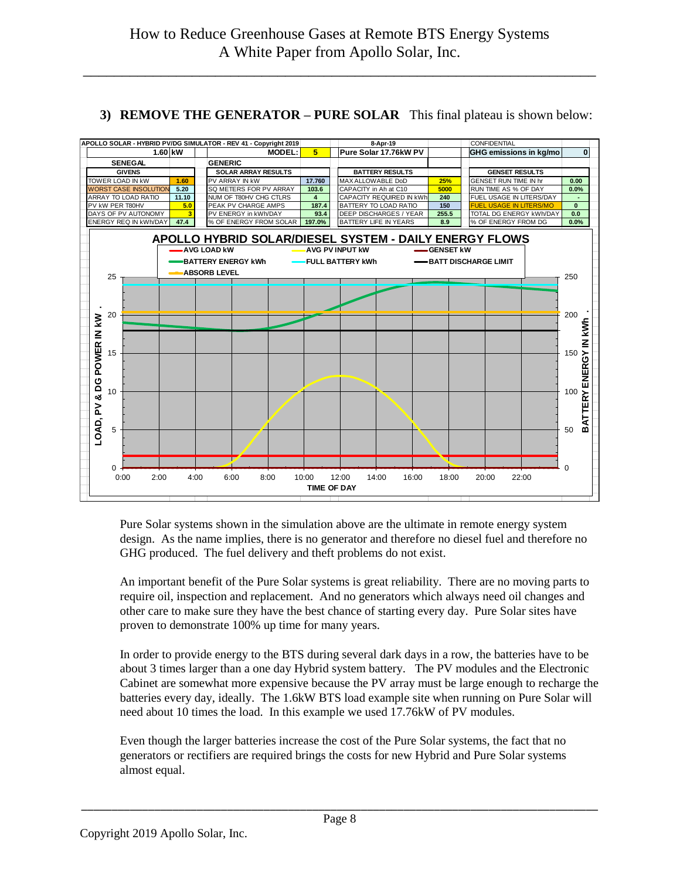# **3) REMOVE THE GENERATOR – PURE SOLAR** This final plateau is shown below:



Pure Solar systems shown in the simulation above are the ultimate in remote energy system design. As the name implies, there is no generator and therefore no diesel fuel and therefore no GHG produced. The fuel delivery and theft problems do not exist.

An important benefit of the Pure Solar systems is great reliability. There are no moving parts to require oil, inspection and replacement. And no generators which always need oil changes and other care to make sure they have the best chance of starting every day. Pure Solar sites have proven to demonstrate 100% up time for many years.

In order to provide energy to the BTS during several dark days in a row, the batteries have to be about 3 times larger than a one day Hybrid system battery. The PV modules and the Electronic Cabinet are somewhat more expensive because the PV array must be large enough to recharge the batteries every day, ideally. The 1.6kW BTS load example site when running on Pure Solar will need about 10 times the load. In this example we used 17.76kW of PV modules.

Even though the larger batteries increase the cost of the Pure Solar systems, the fact that no generators or rectifiers are required brings the costs for new Hybrid and Pure Solar systems almost equal.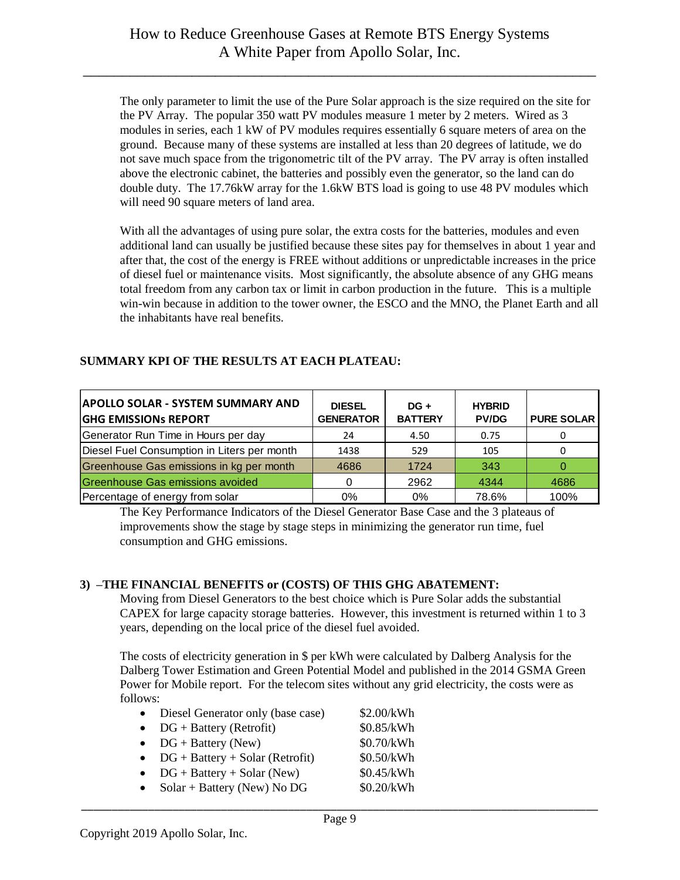The only parameter to limit the use of the Pure Solar approach is the size required on the site for the PV Array. The popular 350 watt PV modules measure 1 meter by 2 meters. Wired as 3 modules in series, each 1 kW of PV modules requires essentially 6 square meters of area on the ground. Because many of these systems are installed at less than 20 degrees of latitude, we do not save much space from the trigonometric tilt of the PV array. The PV array is often installed above the electronic cabinet, the batteries and possibly even the generator, so the land can do double duty. The 17.76kW array for the 1.6kW BTS load is going to use 48 PV modules which will need 90 square meters of land area.

With all the advantages of using pure solar, the extra costs for the batteries, modules and even additional land can usually be justified because these sites pay for themselves in about 1 year and after that, the cost of the energy is FREE without additions or unpredictable increases in the price of diesel fuel or maintenance visits. Most significantly, the absolute absence of any GHG means total freedom from any carbon tax or limit in carbon production in the future. This is a multiple win-win because in addition to the tower owner, the ESCO and the MNO, the Planet Earth and all the inhabitants have real benefits.

## **SUMMARY KPI OF THE RESULTS AT EACH PLATEAU:**

| <b>APOLLO SOLAR - SYSTEM SUMMARY AND</b><br><b>GHG EMISSIONS REPORT</b> | <b>DIESEL</b><br><b>GENERATOR</b> | $DG +$<br><b>BATTERY</b> | <b>HYBRID</b><br><b>PV/DG</b> | <b>PURE SOLAR</b> |
|-------------------------------------------------------------------------|-----------------------------------|--------------------------|-------------------------------|-------------------|
| Generator Run Time in Hours per day                                     | 24                                | 4.50                     | 0.75                          |                   |
| Diesel Fuel Consumption in Liters per month                             | 1438                              | 529                      | 105                           |                   |
| Greenhouse Gas emissions in kg per month                                | 4686                              | 1724                     | 343                           |                   |
| Greenhouse Gas emissions avoided                                        |                                   | 2962                     | 4344                          | 4686              |
| Percentage of energy from solar                                         | 0%                                | 0%                       | 78.6%                         | 100%              |

The Key Performance Indicators of the Diesel Generator Base Case and the 3 plateaus of improvements show the stage by stage steps in minimizing the generator run time, fuel consumption and GHG emissions.

#### **3) –THE FINANCIAL BENEFITS or (COSTS) OF THIS GHG ABATEMENT:**

Moving from Diesel Generators to the best choice which is Pure Solar adds the substantial CAPEX for large capacity storage batteries. However, this investment is returned within 1 to 3 years, depending on the local price of the diesel fuel avoided.

The costs of electricity generation in \$ per kWh were calculated by Dalberg Analysis for the Dalberg Tower Estimation and Green Potential Model and published in the 2014 GSMA Green Power for Mobile report. For the telecom sites without any grid electricity, the costs were as follows:

|  |  | Diesel Generator only (base case) |  |  |  |  | \$2.00/kWh |
|--|--|-----------------------------------|--|--|--|--|------------|
|--|--|-----------------------------------|--|--|--|--|------------|

- $DG + Battery (Retrofit)$  \$0.85/kWh
- $DG + Battery (New)$  \$0.70/kWh
- $DG + Battery + Solar (Retrofit)$  \$0.50/kWh
- $DG + Battery + Solar (New)$  \$0.45/kWh
- Solar + Battery (New) No DG  $$0.20/kWh$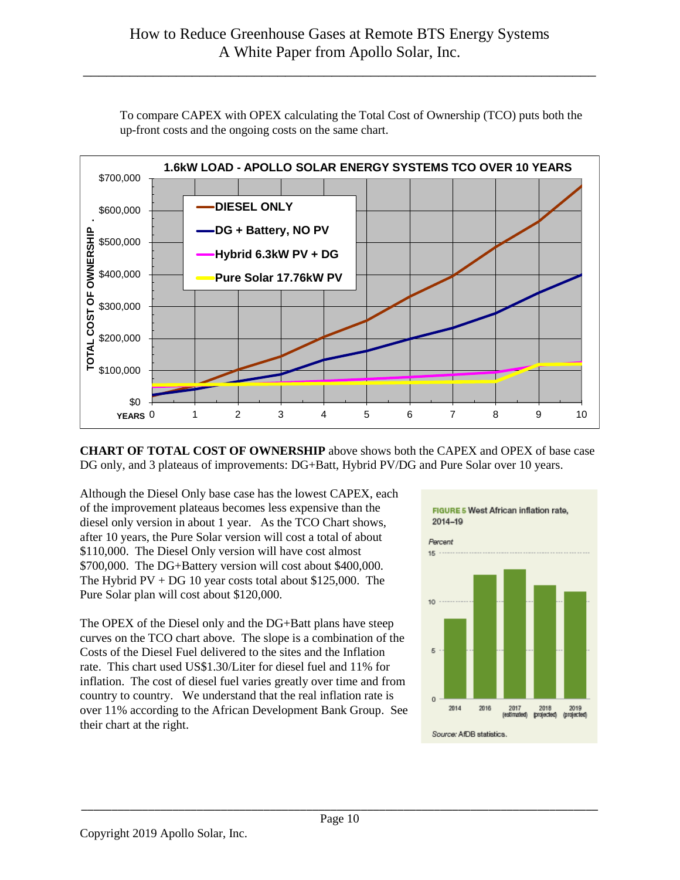

To compare CAPEX with OPEX calculating the Total Cost of Ownership (TCO) puts both the up-front costs and the ongoing costs on the same chart.

**CHART OF TOTAL COST OF OWNERSHIP** above shows both the CAPEX and OPEX of base case DG only, and 3 plateaus of improvements: DG+Batt, Hybrid PV/DG and Pure Solar over 10 years.

Although the Diesel Only base case has the lowest CAPEX, each of the improvement plateaus becomes less expensive than the diesel only version in about 1 year. As the TCO Chart shows, after 10 years, the Pure Solar version will cost a total of about \$110,000. The Diesel Only version will have cost almost \$700,000. The DG+Battery version will cost about \$400,000. The Hybrid  $PV + DG 10$  year costs total about \$125,000. The Pure Solar plan will cost about \$120,000.

The OPEX of the Diesel only and the DG+Batt plans have steep curves on the TCO chart above. The slope is a combination of the Costs of the Diesel Fuel delivered to the sites and the Inflation rate. This chart used US\$1.30/Liter for diesel fuel and 11% for inflation. The cost of diesel fuel varies greatly over time and from country to country. We understand that the real inflation rate is over 11% according to the African Development Bank Group. See their chart at the right.